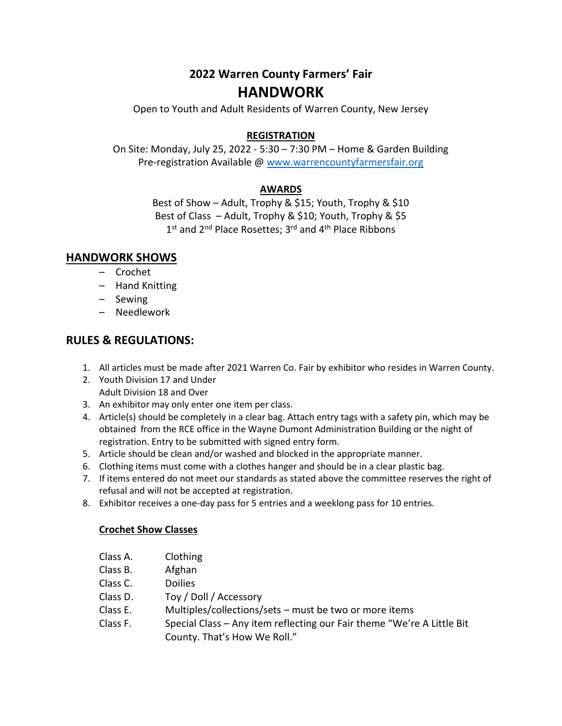# **2022 Warren County Farmers' Fair HANDWORK**

Open to Youth and Adult Residents of Warren County, New Jersey

### **REGISTRATION**

On Site: Monday, July 25, 2022 - 5:30 – 7:30 PM – Home & Garden Building Pre-registration Available @ [www.warrencountyfarmersfair.org](http://www.warrencountyfarmersfair.org/)

### **AWARDS**

Best of Show – Adult, Trophy & \$15; Youth, Trophy & \$10 Best of Class – Adult, Trophy & \$10; Youth, Trophy & \$5 1<sup>st</sup> and 2<sup>nd</sup> Place Rosettes; 3<sup>rd</sup> and 4<sup>th</sup> Place Ribbons

### **HANDWORK SHOWS**

- Crochet
- Hand Knitting
- Sewing
- Needlework

# **RULES & REGULATIONS:**

- 1. All articles must be made after 2021 Warren Co. Fair by exhibitor who resides in Warren County.
- 2. Youth Division 17 and Under Adult Division 18 and Over
- 3. An exhibitor may only enter one item per class.
- 4. Article(s) should be completely in a clear bag. Attach entry tags with a safety pin, which may be obtained from the RCE office in the Wayne Dumont Administration Building or the night of registration. Entry to be submitted with signed entry form.
- 5. Article should be clean and/or washed and blocked in the appropriate manner.
- 6. Clothing items must come with a clothes hanger and should be in a clear plastic bag.
- 7. If items entered do not meet our standards as stated above the committee reserves the right of refusal and will not be accepted at registration.
- 8. Exhibitor receives a one-day pass for 5 entries and a weeklong pass for 10 entries.

## **Crochet Show Classes**

- Class A. Clothing
- Class B. Afghan
- Class C. Doilies
- Class D. Toy / Doll / Accessory
- Class E. Multiples/collections/sets must be two or more items
- Class F. Special Class Any item reflecting our Fair theme "We're A Little Bit County. That's How We Roll."